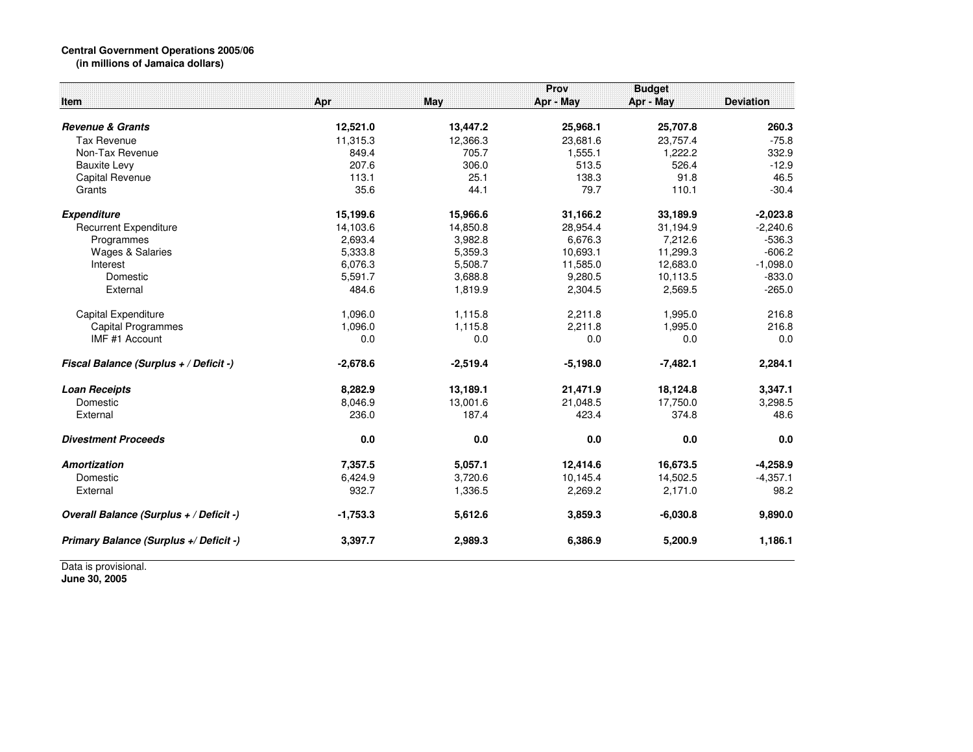## **Central Government Operations 2005/06 (in millions of Jamaica dollars)**

| Item                                    | Apr        | May        | Prov<br>Apr - May | <b>Budget</b><br>Apr - May | <b>Deviation</b> |
|-----------------------------------------|------------|------------|-------------------|----------------------------|------------------|
| <b>Revenue &amp; Grants</b>             | 12,521.0   | 13,447.2   | 25,968.1          | 25,707.8                   | 260.3            |
| Tax Revenue                             | 11,315.3   | 12,366.3   | 23,681.6          | 23,757.4                   | $-75.8$          |
| Non-Tax Revenue                         | 849.4      | 705.7      | 1,555.1           | 1.222.2                    | 332.9            |
| <b>Bauxite Levy</b>                     | 207.6      | 306.0      | 513.5             | 526.4                      | $-12.9$          |
| <b>Capital Revenue</b>                  | 113.1      | 25.1       | 138.3             | 91.8                       | 46.5             |
| Grants                                  | 35.6       | 44.1       | 79.7              | 110.1                      | $-30.4$          |
| <b>Expenditure</b>                      | 15,199.6   | 15,966.6   | 31,166.2          | 33,189.9                   | $-2,023.8$       |
| <b>Recurrent Expenditure</b>            | 14.103.6   | 14,850.8   | 28,954.4          | 31.194.9                   | $-2,240.6$       |
| Programmes                              | 2,693.4    | 3,982.8    | 6,676.3           | 7,212.6                    | $-536.3$         |
| <b>Wages &amp; Salaries</b>             | 5,333.8    | 5,359.3    | 10,693.1          | 11,299.3                   | $-606.2$         |
| Interest                                | 6,076.3    | 5,508.7    | 11,585.0          | 12,683.0                   | $-1,098.0$       |
| Domestic                                | 5,591.7    | 3,688.8    | 9,280.5           | 10,113.5                   | $-833.0$         |
| External                                | 484.6      | 1,819.9    | 2,304.5           | 2,569.5                    | $-265.0$         |
| Capital Expenditure                     | 1,096.0    | 1,115.8    | 2,211.8           | 1,995.0                    | 216.8            |
| <b>Capital Programmes</b>               | 1,096.0    | 1,115.8    | 2,211.8           | 1,995.0                    | 216.8            |
| IMF #1 Account                          | 0.0        | 0.0        | 0.0               | 0.0                        | 0.0              |
| Fiscal Balance (Surplus + / Deficit -)  | $-2,678.6$ | $-2,519.4$ | $-5,198.0$        | $-7,482.1$                 | 2,284.1          |
| <b>Loan Receipts</b>                    | 8,282.9    | 13,189.1   | 21,471.9          | 18,124.8                   | 3.347.1          |
| Domestic                                | 8,046.9    | 13,001.6   | 21,048.5          | 17,750.0                   | 3,298.5          |
| External                                | 236.0      | 187.4      | 423.4             | 374.8                      | 48.6             |
| <b>Divestment Proceeds</b>              | 0.0        | 0.0        | 0.0               | 0.0                        | 0.0              |
| <b>Amortization</b>                     | 7,357.5    | 5,057.1    | 12,414.6          | 16,673.5                   | $-4,258.9$       |
| Domestic                                | 6,424.9    | 3,720.6    | 10,145.4          | 14,502.5                   | $-4,357.1$       |
| External                                | 932.7      | 1,336.5    | 2,269.2           | 2,171.0                    | 98.2             |
| Overall Balance (Surplus + / Deficit -) | $-1,753.3$ | 5,612.6    | 3,859.3           | $-6,030.8$                 | 9,890.0          |
| Primary Balance (Surplus +/ Deficit -)  | 3,397.7    | 2,989.3    | 6,386.9           | 5,200.9                    | 1,186.1          |

Data is provisional. **June 30, 2005**